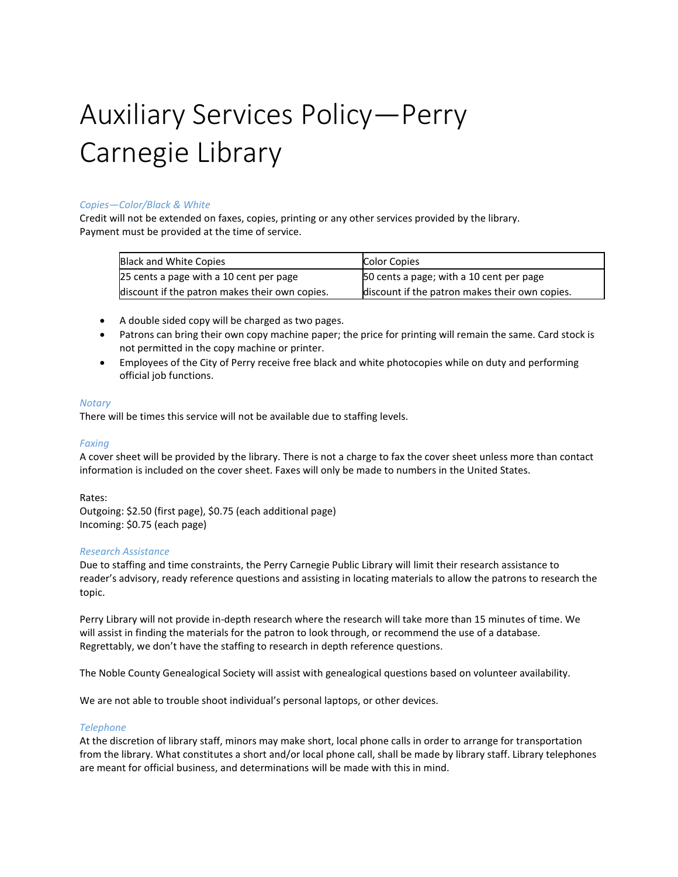# Auxiliary Services Policy—Perry Carnegie Library

## *Copies—Color/Black & White*

Credit will not be extended on faxes, copies, printing or any other services provided by the library. Payment must be provided at the time of service.

| Black and White Copies                         | <b>Color Copies</b>                            |
|------------------------------------------------|------------------------------------------------|
| 25 cents a page with a 10 cent per page        | 50 cents a page; with a 10 cent per page       |
| discount if the patron makes their own copies. | discount if the patron makes their own copies. |

- A double sided copy will be charged as two pages.
- Patrons can bring their own copy machine paper; the price for printing will remain the same. Card stock is not permitted in the copy machine or printer.
- Employees of the City of Perry receive free black and white photocopies while on duty and performing official job functions.

## *Notary*

There will be times this service will not be available due to staffing levels.

## *Faxing*

A cover sheet will be provided by the library. There is not a charge to fax the cover sheet unless more than contact information is included on the cover sheet. Faxes will only be made to numbers in the United States.

Rates:

Outgoing: \$2.50 (first page), \$0.75 (each additional page) Incoming: \$0.75 (each page)

## *Research Assistance*

Due to staffing and time constraints, the Perry Carnegie Public Library will limit their research assistance to reader's advisory, ready reference questions and assisting in locating materials to allow the patrons to research the topic.

Perry Library will not provide in-depth research where the research will take more than 15 minutes of time. We will assist in finding the materials for the patron to look through, or recommend the use of a database. Regrettably, we don't have the staffing to research in depth reference questions.

The Noble County Genealogical Society will assist with genealogical questions based on volunteer availability.

We are not able to trouble shoot individual's personal laptops, or other devices.

## *Telephone*

At the discretion of library staff, minors may make short, local phone calls in order to arrange for transportation from the library. What constitutes a short and/or local phone call, shall be made by library staff. Library telephones are meant for official business, and determinations will be made with this in mind.